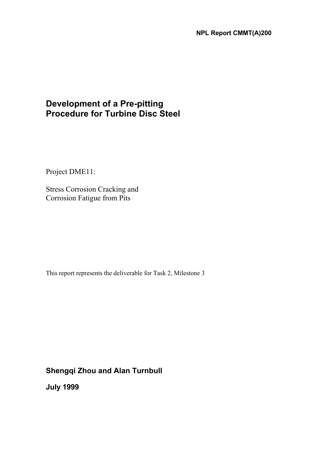# **Development of a Pre-pitting Procedure for Turbine Disc Steel**

Project DME11:

Stress Corrosion Cracking and Corrosion Fatigue from Pits

This report represents the deliverable for Task 2, Milestone 3

**Shengqi Zhou and Alan Turnbull** 

**July 1999**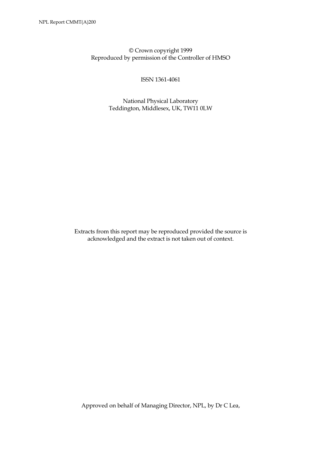© Crown copyright 1999 Reproduced by permission of the Controller of HMSO

ISSN 1361-4061

 National Physical Laboratory Teddington, Middlesex, UK, TW11 0LW

Extracts from this report may be reproduced provided the source is acknowledged and the extract is not taken out of context.

Approved on behalf of Managing Director, NPL, by Dr C Lea,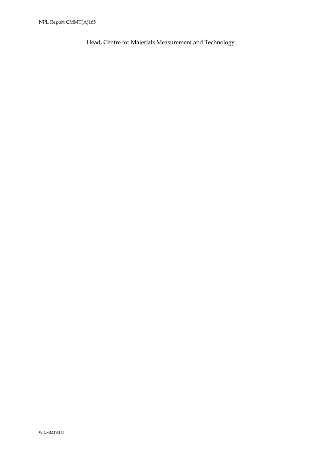Head, Centre for Materials Measurement and Technology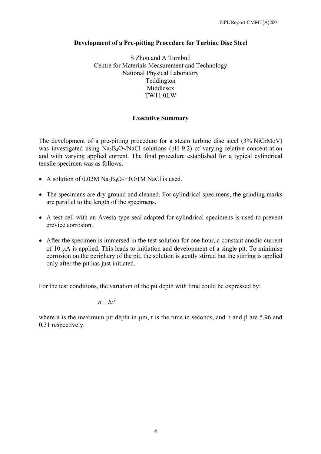## **Development of a Pre-pitting Procedure for Turbine Disc Steel**

S Zhou and A Turnbull Centre for Materials Measurement and Technology National Physical Laboratory Teddington Middlesex TW11 0LW

## **Executive Summary**

The development of a pre-pitting procedure for a steam turbine disc steel (3% NiCrMoV) was investigated using  $Na<sub>2</sub>B<sub>4</sub>O<sub>7</sub>/NaCl$  solutions (pH 9.2) of varying relative concentration and with varying applied current. The final procedure established for a typical cylindrical tensile specimen was as follows.

- A solution of  $0.02M$  Na<sub>2</sub>B<sub>4</sub>O<sub>7</sub> +0.01M NaCl is used.
- The specimens are dry ground and cleaned. For cylindrical specimens, the grinding marks are parallel to the length of the specimens.
- A test cell with an Avesta type seal adapted for cylindrical specimens is used to prevent crevice corrosion.
- After the specimen is immersed in the test solution for one hour, a constant anodic current of 10 µA is applied. This leads to initiation and development of a single pit. To minimise corrosion on the periphery of the pit, the solution is gently stirred but the stirring is applied only after the pit has just initiated.

For the test conditions, the variation of the pit depth with time could be expressed by:

 $a = bt^{\beta}$ 

where a is the maximum pit depth in μm, t is the time in seconds, and b and β are 5.96 and 0.31 respectively.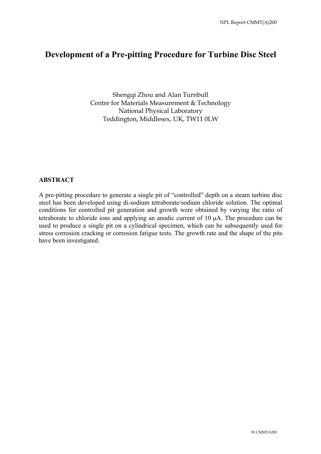## **Development of a Pre-pitting Procedure for Turbine Disc Steel**

Shengqi Zhou and Alan Turnbull Centre for Materials Measurement & Technology National Physical Laboratory Teddington, Middlesex, UK, TW11 0LW

## **ABSTRACT**

A pre-pitting procedure to generate a single pit of "controlled" depth on a steam turbine disc steel has been developed using di-sodium tetraborate/sodium chloride solution. The optimal conditions for controlled pit generation and growth were obtained by varying the ratio of tetraborate to chloride ions and applying an anodic current of 10 µA. The procedure can be used to produce a single pit on a cylindrical specimen, which can be subsequently used for stress corrosion cracking or corrosion fatigue tests. The growth rate and the shape of the pits have been investigated.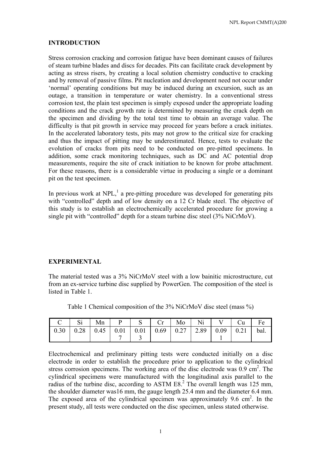#### **INTRODUCTION**

Stress corrosion cracking and corrosion fatigue have been dominant causes of failures of steam turbine blades and discs for decades. Pits can facilitate crack development by acting as stress risers, by creating a local solution chemistry conductive to cracking and by removal of passive films. Pit nucleation and development need not occur under 'normal' operating conditions but may be induced during an excursion, such as an outage, a transition in temperature or water chemistry. In a conventional stress corrosion test, the plain test specimen is simply exposed under the appropriate loading conditions and the crack growth rate is determined by measuring the crack depth on the specimen and dividing by the total test time to obtain an average value. The difficulty is that pit growth in service may proceed for years before a crack initiates. In the accelerated laboratory tests, pits may not grow to the critical size for cracking and thus the impact of pitting may be underestimated. Hence, tests to evaluate the evolution of cracks from pits need to be conducted on pre-pitted specimens. In addition, some crack monitoring techniques, such as DC and AC potential drop measurements, require the site of crack initiation to be known for probe attachment. For these reasons, there is a considerable virtue in producing a single or a dominant pit on the test specimen.

In previous work at NPL, $<sup>1</sup>$  a pre-pitting procedure was developed for generating pits</sup> with "controlled" depth and of low density on a 12 Cr blade steel. The objective of this study is to establish an electrochemically accelerated procedure for growing a single pit with "controlled" depth for a steam turbine disc steel (3% NiCrMoV).

## **EXPERIMENTAL**

The material tested was a 3% NiCrMoV steel with a low bainitic microstructure, cut from an ex-service turbine disc supplied by PowerGen. The composition of the steel is listed in Table 1.

| $\overline{C}$                                                                                                             | $\vert$ Si |  | $\vert$ Mn $\vert$ P $\vert$ S $\vert$ Cr $\vert$ Mo $\vert$ Ni $\vert$ V $\vert$ Cu $\vert$ |  |  | Fe |
|----------------------------------------------------------------------------------------------------------------------------|------------|--|----------------------------------------------------------------------------------------------|--|--|----|
| $\vert 0.30 \vert 0.28 \vert 0.45 \vert 0.01 \vert 0.01 \vert 0.69 \vert 0.27 \vert 2.89 \vert 0.09 \vert 0.21 \vert$ bal. |            |  |                                                                                              |  |  |    |
|                                                                                                                            |            |  |                                                                                              |  |  |    |

Table 1 Chemical composition of the 3% NiCrMoV disc steel (mass %)

Electrochemical and preliminary pitting tests were conducted initially on a disc electrode in order to establish the procedure prior to application to the cylindrical stress corrosion specimens. The working area of the disc electrode was  $0.9 \text{ cm}^2$ . The cylindrical specimens were manufactured with the longitudinal axis parallel to the radius of the turbine disc, according to ASTM  $E8<sup>2</sup>$ . The overall length was 125 mm, the shoulder diameter was16 mm, the gauge length 25.4 mm and the diameter 6.4 mm. The exposed area of the cylindrical specimen was approximately  $9.6 \text{ cm}^2$ . In the present study, all tests were conducted on the disc specimen, unless stated otherwise.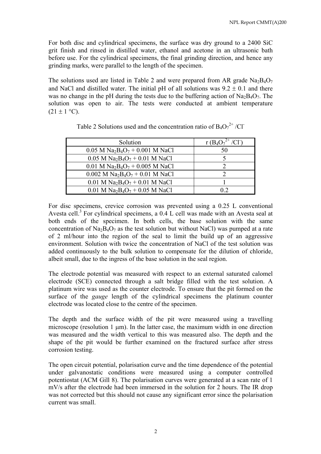For both disc and cylindrical specimens, the surface was dry ground to a 2400 SiC grit finish and rinsed in distilled water, ethanol and acetone in an ultrasonic bath before use. For the cylindrical specimens, the final grinding direction, and hence any grinding marks, were parallel to the length of the specimen.

The solutions used are listed in Table 2 and were prepared from AR grade  $Na_2BaO_7$ and NaCl and distilled water. The initial pH of all solutions was  $9.2 \pm 0.1$  and there was no change in the pH during the tests due to the buffering action of  $\text{Na}_2\text{B}_4\text{O}_7$ . The solution was open to air. The tests were conducted at ambient temperature  $(21 \pm 1 \degree C)$ .

| Solution                                                              | $r(B_4O_7^{2+}$ |
|-----------------------------------------------------------------------|-----------------|
| $0.05$ M Na <sub>2</sub> B <sub>4</sub> O <sub>7</sub> + 0.001 M NaCl | 50              |
| $0.05$ M Na <sub>2</sub> B <sub>4</sub> O <sub>7</sub> + 0.01 M NaCl  |                 |
| $0.01$ M Na <sub>2</sub> B <sub>4</sub> O <sub>7</sub> + 0.005 M NaCl |                 |
| $0.002$ M Na <sub>2</sub> B <sub>4</sub> O <sub>7</sub> + 0.01 M NaCl |                 |
| $0.01$ M Na <sub>2</sub> B <sub>4</sub> O <sub>7</sub> + 0.01 M NaCl  |                 |
| $0.01$ M Na <sub>2</sub> B <sub>4</sub> O <sub>7</sub> + 0.05 M NaCl  | 02              |

| Table 2 Solutions used and the concentration ratio of $B_4O_7^{2+}/Cl^-$ |  |  |
|--------------------------------------------------------------------------|--|--|
|--------------------------------------------------------------------------|--|--|

For disc specimens, crevice corrosion was prevented using a 0.25 L conventional Avesta cell.<sup>3</sup> For cylindrical specimens, a  $0.4$  L cell was made with an Avesta seal at both ends of the specimen. In both cells, the base solution with the same concentration of  $Na<sub>2</sub>B<sub>4</sub>O<sub>7</sub>$  as the test solution but without NaCl) was pumped at a rate of 2 ml/hour into the region of the seal to limit the build up of an aggressive environment. Solution with twice the concentration of NaCl of the test solution was added continuously to the bulk solution to compensate for the dilution of chloride, albeit small, due to the ingress of the base solution in the seal region.

The electrode potential was measured with respect to an external saturated calomel electrode (SCE) connected through a salt bridge filled with the test solution. A platinum wire was used as the counter electrode. To ensure that the pit formed on the surface of the *gauge* length of the cylindrical specimens the platinum counter electrode was located close to the centre of the specimen.

The depth and the surface width of the pit were measured using a travelling microscope (resolution 1  $\mu$ m). In the latter case, the maximum width in one direction was measured and the width vertical to this was measured also. The depth and the shape of the pit would be further examined on the fractured surface after stress corrosion testing.

The open circuit potential, polarisation curve and the time dependence of the potential under galvanostatic conditions were measured using a computer controlled potentiostat (ACM Gill 8). The polarisation curves were generated at a scan rate of 1 mV/s after the electrode had been immersed in the solution for 2 hours. The IR drop was not corrected but this should not cause any significant error since the polarisation current was small.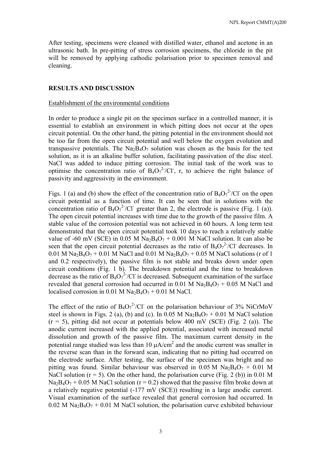After testing, specimens were cleaned with distilled water, ethanol and acetone in an ultrasonic bath. In pre-pitting of stress corrosion specimens, the chloride in the pit will be removed by applying cathodic polarisation prior to specimen removal and cleaning.

#### **RESULTS AND DISCUSSION**

#### Establishment of the environmental conditions

In order to produce a single pit on the specimen surface in a controlled manner, it is essential to establish an environment in which pitting does not occur at the open circuit potential. On the other hand, the pitting potential in the environment should not be too far from the open circuit potential and well below the oxygen evolution and transpassive potentials. The  $Na<sub>2</sub>B<sub>4</sub>O<sub>7</sub>$  solution was chosen as the basis for the test solution, as it is an alkaline buffer solution, facilitating passivation of the disc steel. NaCl was added to induce pitting corrosion. The initial task of the work was to optimise the concentration ratio of  $B_4O_7^2$ /Cl, r, to achieve the right balance of passivity and aggressivity in the environment.

Figs. 1 (a) and (b) show the effect of the concentration ratio of  $B_4O_7^2/CI$  on the open circuit potential as a function of time. It can be seen that in solutions with the concentration ratio of  $B_4O_7^2$ /Cl<sup>-</sup> greater than 2, the electrode is passive (Fig. 1 (a)). The open circuit potential increases with time due to the growth of the passive film. A stable value of the corrosion potential was not achieved in 60 hours. A long term test demonstrated that the open circuit potential took 10 days to reach a relatively stable value of -60 mV (SCE) in 0.05 M Na<sub>2</sub>B<sub>4</sub>O<sub>7</sub> + 0.001 M NaCl solution. It can also be seen that the open circuit potential decreases as the ratio of  $B_4O_7^2/CI$  decreases. In 0.01 M Na<sub>2</sub>B<sub>4</sub>O<sub>7</sub> + 0.01 M NaCl and 0.01 M Na<sub>2</sub>B<sub>4</sub>O<sub>7</sub> + 0.05 M NaCl solutions (r of 1) and 0.2 respectively), the passive film is not stable and breaks down under open circuit conditions (Fig. 1 b). The breakdown potential and the time to breakdown decrease as the ratio of  $B_4O_7^{2-}/Cl$  is decreased. Subsequent examination of the surface revealed that general corrosion had occurred in 0.01 M  $Na<sub>2</sub>B<sub>4</sub>O<sub>7</sub> + 0.05$  M NaCl and localised corrosion in 0.01 M Na<sub>2</sub>B<sub>4</sub>O<sub>7</sub> + 0.01 M NaCl.

The effect of the ratio of  $B_4O_7^2$ /Cl<sup>-</sup> on the polarisation behaviour of 3% NiCrMoV steel is shown in Figs. 2 (a), (b) and (c). In 0.05 M  $Na<sub>2</sub>B<sub>4</sub>O<sub>7</sub> + 0.01$  M NaCl solution  $(r = 5)$ , pitting did not occur at potentials below 400 mV (SCE) (Fig. 2 (a)). The anodic current increased with the applied potential, associated with increased metal dissolution and growth of the passive film. The maximum current density in the potential range studied was less than 10  $\mu A/cm^2$  and the anodic current was smaller in the reverse scan than in the forward scan, indicating that no pitting had occurred on the electrode surface. After testing, the surface of the specimen was bright and no pitting was found. Similar behaviour was observed in 0.05 M  $Na_2B_4O_7 + 0.01$  M NaCl solution ( $r = 5$ ). On the other hand, the polarisation curve (Fig. 2 (b)) in 0.01 M  $Na<sub>2</sub>B<sub>4</sub>O<sub>7</sub> + 0.05$  M NaCl solution (r = 0.2) showed that the passive film broke down at a relatively negative potential (-177 mV (SCE)) resulting in a large anodic current. Visual examination of the surface revealed that general corrosion had occurred. In 0.02 M Na<sub>2</sub>B<sub>4</sub>O<sub>7</sub> + 0.01 M NaCl solution, the polarisation curve exhibited behaviour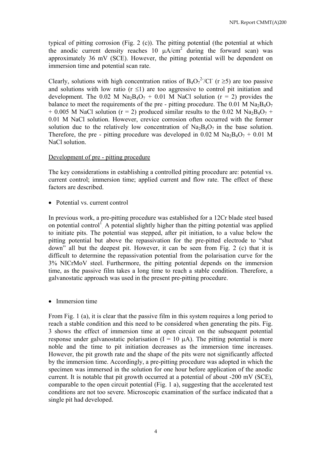typical of pitting corrosion (Fig. 2 (c)). The pitting potential (the potential at which the anodic current density reaches 10  $\mu A/cm^2$  during the forward scan) was approximately 36 mV (SCE). However, the pitting potential will be dependent on immersion time and potential scan rate.

Clearly, solutions with high concentration ratios of  $B_4O_7^{2-}/Cl$  (r ≥5) are too passive and solutions with low ratio ( $r \leq 1$ ) are too aggressive to control pit initiation and development. The 0.02 M  $\text{Na}_2\text{B}_4\text{O}_7$  + 0.01 M NaCl solution (r = 2) provides the balance to meet the requirements of the pre - pitting procedure. The  $0.01$  M Na<sub>2</sub>B<sub>4</sub>O<sub>7</sub>  $+ 0.005$  M NaCl solution (r = 2) produced similar results to the 0.02 M Na<sub>2</sub>B<sub>4</sub>O<sub>7</sub> + 0.01 M NaCl solution. However, crevice corrosion often occurred with the former solution due to the relatively low concentration of  $Na_2BaO_7$  in the base solution. Therefore, the pre - pitting procedure was developed in  $0.02$  M Na<sub>2</sub>B<sub>4</sub>O<sub>7</sub> + 0.01 M NaCl solution.

#### Development of pre - pitting procedure

The key considerations in establishing a controlled pitting procedure are: potential vs. current control; immersion time; applied current and flow rate. The effect of these factors are described.

• Potential vs. current control

In previous work, a pre-pitting procedure was established for a 12Cr blade steel based on potential control<sup>1</sup> A potential slightly higher than the pitting potential was applied to initiate pits. The potential was stepped, after pit initiation, to a value below the pitting potential but above the repassivation for the pre-pitted electrode to "shut down" all but the deepest pit. However, it can be seen from Fig. 2 (c) that it is difficult to determine the repassivation potential from the polarisation curve for the 3% NICrMoV steel. Furthermore, the pitting potential depends on the immersion time, as the passive film takes a long time to reach a stable condition. Therefore, a galvanostatic approach was used in the present pre-pitting procedure.

• Immersion time

From Fig. 1 (a), it is clear that the passive film in this system requires a long period to reach a stable condition and this need to be considered when generating the pits. Fig. 3 shows the effect of immersion time at open circuit on the subsequent potential response under galvanostatic polarisation  $(I = 10 \mu A)$ . The pitting potential is more noble and the time to pit initiation decreases as the immersion time increases. However, the pit growth rate and the shape of the pits were not significantly affected by the immersion time. Accordingly, a pre-pitting procedure was adopted in which the specimen was immersed in the solution for one hour before application of the anodic current. It is notable that pit growth occurred at a potential of about -200 mV (SCE), comparable to the open circuit potential (Fig. 1 a), suggesting that the accelerated test conditions are not too severe. Microscopic examination of the surface indicated that a single pit had developed.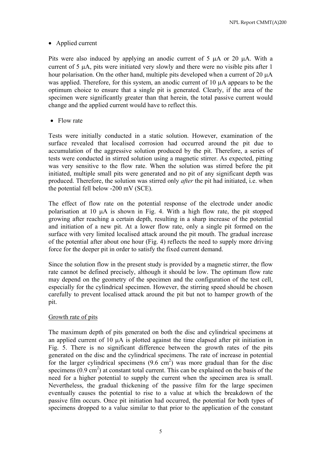## • Applied current

Pits were also induced by applying an anodic current of 5  $\mu$ A or 20  $\mu$ A. With a current of  $5 \mu A$ , pits were initiated very slowly and there were no visible pits after 1 hour polarisation. On the other hand, multiple pits developed when a current of 20  $\mu$ A was applied. Therefore, for this system, an anodic current of 10 µA appears to be the optimum choice to ensure that a single pit is generated. Clearly, if the area of the specimen were significantly greater than that herein, the total passive current would change and the applied current would have to reflect this.

• Flow rate

Tests were initially conducted in a static solution. However, examination of the surface revealed that localised corrosion had occurred around the pit due to accumulation of the aggressive solution produced by the pit. Therefore, a series of tests were conducted in stirred solution using a magnetic stirrer. As expected, pitting was very sensitive to the flow rate. When the solution was stirred before the pit initiated, multiple small pits were generated and no pit of any significant depth was produced. Therefore, the solution was stirred only *after* the pit had initiated, i.e. when the potential fell below -200 mV (SCE).

The effect of flow rate on the potential response of the electrode under anodic polarisation at 10 µA is shown in Fig. 4. With a high flow rate, the pit stopped growing after reaching a certain depth, resulting in a sharp increase of the potential and initiation of a new pit. At a lower flow rate, only a single pit formed on the surface with very limited localised attack around the pit mouth. The gradual increase of the potential after about one hour (Fig. 4) reflects the need to supply more driving force for the deeper pit in order to satisfy the fixed current demand.

Since the solution flow in the present study is provided by a magnetic stirrer, the flow rate cannot be defined precisely, although it should be low. The optimum flow rate may depend on the geometry of the specimen and the configuration of the test cell, especially for the cylindrical specimen. However, the stirring speed should be chosen carefully to prevent localised attack around the pit but not to hamper growth of the pit.

## Growth rate of pits

The maximum depth of pits generated on both the disc and cylindrical specimens at an applied current of 10 µA is plotted against the time elapsed after pit initiation in Fig. 5. There is no significant difference between the growth rates of the pits generated on the disc and the cylindrical specimens. The rate of increase in potential for the larger cylindrical specimens  $(9.6 \text{ cm}^2)$  was more gradual than for the disc specimens  $(0.9 \text{ cm}^2)$  at constant total current. This can be explained on the basis of the need for a higher potential to supply the current when the specimen area is small. Nevertheless, the gradual thickening of the passive film for the large specimen eventually causes the potential to rise to a value at which the breakdown of the passive film occurs. Once pit initiation had occurred, the potential for both types of specimens dropped to a value similar to that prior to the application of the constant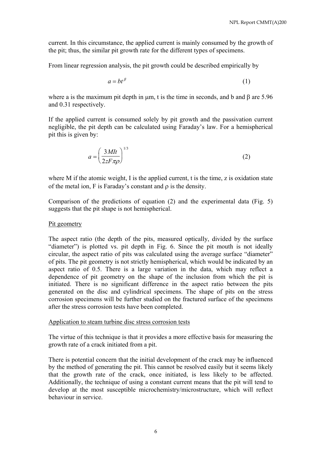current. In this circumstance, the applied current is mainly consumed by the growth of the pit; thus, the similar pit growth rate for the different types of specimens.

From linear regression analysis, the pit growth could be described empirically by

$$
a = bt^{\beta} \tag{1}
$$

where a is the maximum pit depth in  $\mu$ m, t is the time in seconds, and b and  $\beta$  are 5.96 and 0.31 respectively.

If the applied current is consumed solely by pit growth and the passivation current negligible, the pit depth can be calculated using Faraday's law. For a hemispherical pit this is given by:

$$
a = \left(\frac{3Mt}{2zF\pi\rho}\right)^{1/3} \tag{2}
$$

where M if the atomic weight, I is the applied current, t is the time, z is oxidation state of the metal ion, F is Faraday's constant and ρ is the density.

Comparison of the predictions of equation (2) and the experimental data (Fig. 5) suggests that the pit shape is not hemispherical.

#### Pit geometry

The aspect ratio (the depth of the pits, measured optically, divided by the surface "diameter") is plotted vs. pit depth in Fig. 6. Since the pit mouth is not ideally circular, the aspect ratio of pits was calculated using the average surface "diameter" of pits. The pit geometry is not strictly hemispherical, which would be indicated by an aspect ratio of 0.5. There is a large variation in the data, which may reflect a dependence of pit geometry on the shape of the inclusion from which the pit is initiated. There is no significant difference in the aspect ratio between the pits generated on the disc and cylindrical specimens. The shape of pits on the stress corrosion specimens will be further studied on the fractured surface of the specimens after the stress corrosion tests have been completed.

#### Application to steam turbine disc stress corrosion tests

The virtue of this technique is that it provides a more effective basis for measuring the growth rate of a crack initiated from a pit.

There is potential concern that the initial development of the crack may be influenced by the method of generating the pit. This cannot be resolved easily but it seems likely that the growth rate of the crack, once initiated, is less likely to be affected. Additionally, the technique of using a constant current means that the pit will tend to develop at the most susceptible microchemistry/microstructure, which will reflect behaviour in service.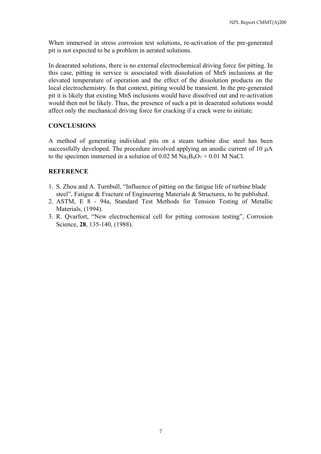When immersed in stress corrosion test solutions, re-activation of the pre-generated pit is not expected to be a problem in aerated solutions.

In deaerated solutions, there is no external electrochemical driving force for pitting. In this case, pitting in service is associated with dissolution of MnS inclusions at the elevated temperature of operation and the effect of the dissolution products on the local electrochemistry. In that context, pitting would be transient. In the pre-generated pit it is likely that existing MnS inclusions would have dissolved out and re-activation would then not be likely. Thus, the presence of such a pit in deaerated solutions would affect only the mechanical driving force for cracking if a crack were to initiate.

## **CONCLUSIONS**

A method of generating individual pits on a steam turbine disc steel has been successfully developed. The procedure involved applying an anodic current of 10  $\mu$ A to the specimen immersed in a solution of 0.02 M  $Na<sub>2</sub>B<sub>4</sub>O<sub>7</sub> + 0.01$  M NaCl.

## **REFERENCE**

- 1. S. Zhou and A. Turnbull, "Influence of pitting on the fatigue life of turbine blade steel", Fatigue & Fracture of Engineering Materials & Structures, to be published.
- 2. ASTM, E 8 94a, Standard Test Methods for Tension Testing of Metallic Materials, (1994).
- 3. R. Qvarfort, "New electrochemical cell for pitting corrosion testing", Corrosion Science, **28**, 135-140, (1988).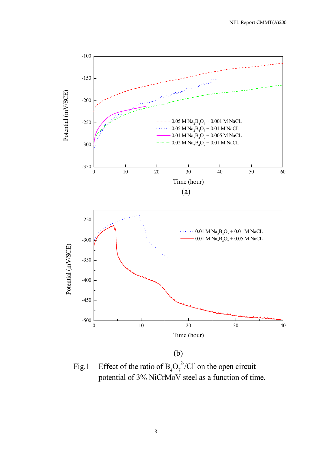

Fig.1 Effect of the ratio of  $B_4O_7^2/CI$  on the open circuit potential of 3% NiCrMoV steel as a function of time.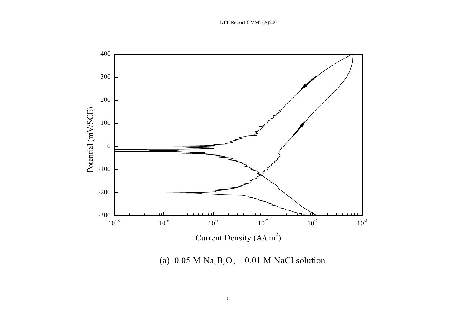

(a)  $0.05$  M  $\text{Na}_2\text{B}_4\text{O}_7 + 0.01$  M NaCl solution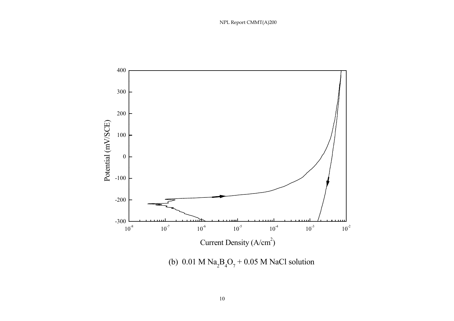

(b)  $0.01 \text{ M Na}_2\text{B}_4\text{O}_7 + 0.05 \text{ M NaCl}$  solution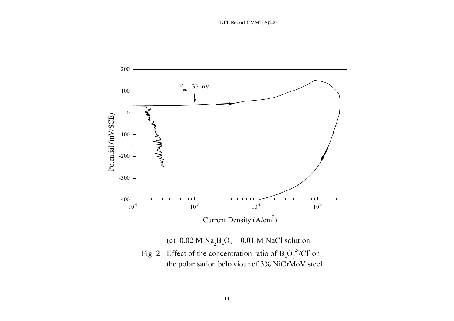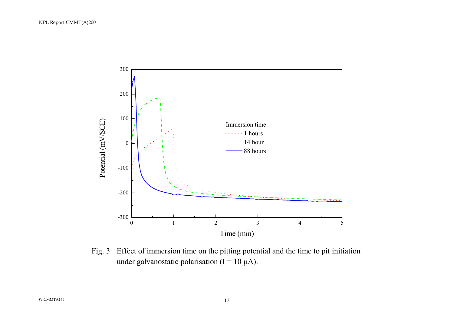

Fig. 3 Effect of immersion time on the pitting potential and the time to pit initiation under galvanostatic polarisation ( $I = 10 \mu A$ ).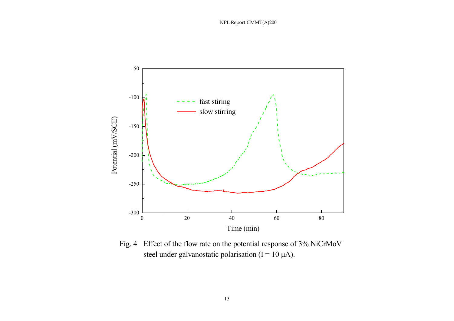

Fig. 4 Effect of the flow rate on the potential response of 3% NiCrMoV steel under galvanostatic polarisation (I =  $10 \mu A$ ).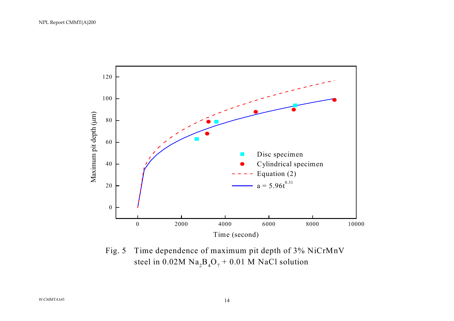

Fig. 5 Time dependence of maximum pit depth of 3% NiCrMnV steel in  $0.02M$  Na<sub>2</sub>B<sub>4</sub>O<sub>7</sub> + 0.01 M NaCl solution